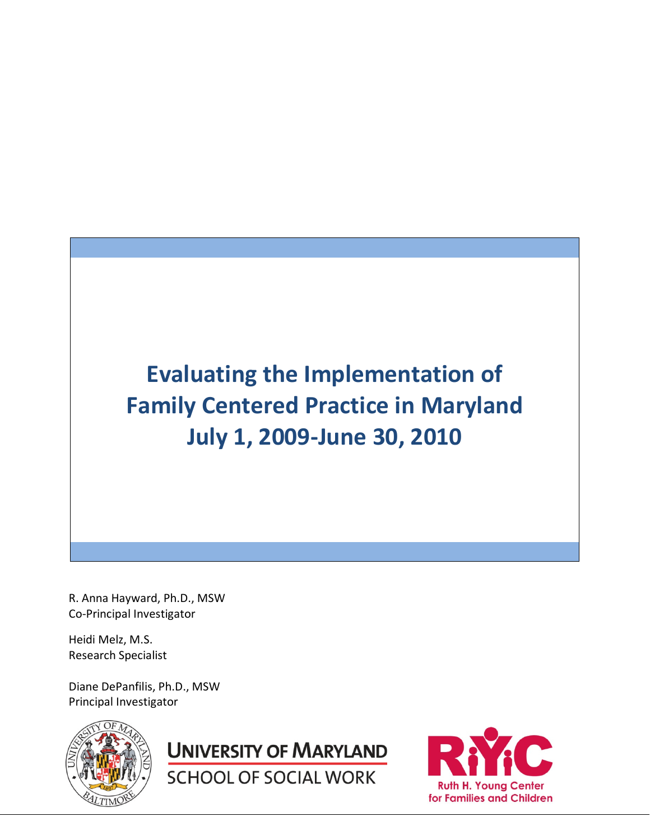**Evaluating the Implementation of Family Centered Practice in Maryland July 1, 2009-June 30, 2010** 

R. Anna Hayward, Ph.D., MSW Co-Principal Investigator

Heidi Melz, M.S. Research Specialist

Diane DePanfilis, Ph.D., MSW Principal Investigator



**UNIVERSITY OF MARYLAND** 

**SCHOOL OF SOCIAL WORK** 

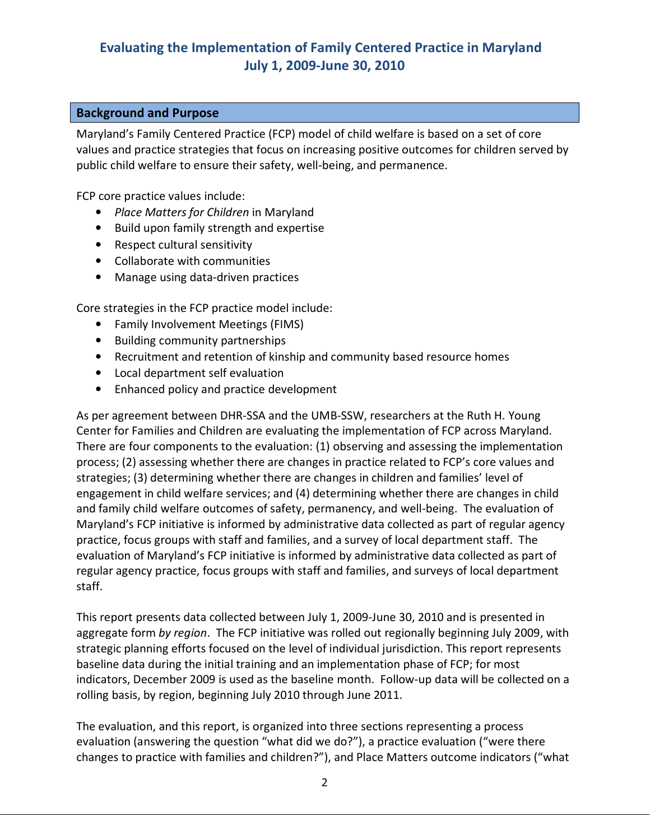# **Evaluating the Implementation of Family Centered Practice in Maryland July 1, 2009-June 30, 2010**

#### **Background and Purpose**

Maryland's Family Centered Practice (FCP) model of child welfare is based on a set of core values and practice strategies that focus on increasing positive outcomes for children served by public child welfare to ensure their safety, well-being, and permanence.

FCP core practice values include:

- *Place Matters for Children* in Maryland
- Build upon family strength and expertise
- Respect cultural sensitivity
- Collaborate with communities
- Manage using data-driven practices

Core strategies in the FCP practice model include:

- Family Involvement Meetings (FIMS)
- Building community partnerships
- Recruitment and retention of kinship and community based resource homes
- Local department self evaluation
- Enhanced policy and practice development

As per agreement between DHR-SSA and the UMB-SSW, researchers at the Ruth H. Young Center for Families and Children are evaluating the implementation of FCP across Maryland. There are four components to the evaluation: (1) observing and assessing the implementation process; (2) assessing whether there are changes in practice related to FCP's core values and strategies; (3) determining whether there are changes in children and families' level of engagement in child welfare services; and (4) determining whether there are changes in child and family child welfare outcomes of safety, permanency, and well-being. The evaluation of Maryland's FCP initiative is informed by administrative data collected as part of regular agency practice, focus groups with staff and families, and a survey of local department staff. The evaluation of Maryland's FCP initiative is informed by administrative data collected as part of regular agency practice, focus groups with staff and families, and surveys of local department staff.

This report presents data collected between July 1, 2009-June 30, 2010 and is presented in aggregate form *by region*. The FCP initiative was rolled out regionally beginning July 2009, with strategic planning efforts focused on the level of individual jurisdiction. This report represents baseline data during the initial training and an implementation phase of FCP; for most indicators, December 2009 is used as the baseline month. Follow-up data will be collected on a rolling basis, by region, beginning July 2010 through June 2011.

The evaluation, and this report, is organized into three sections representing a process evaluation (answering the question "what did we do?"), a practice evaluation ("were there changes to practice with families and children?"), and Place Matters outcome indicators ("what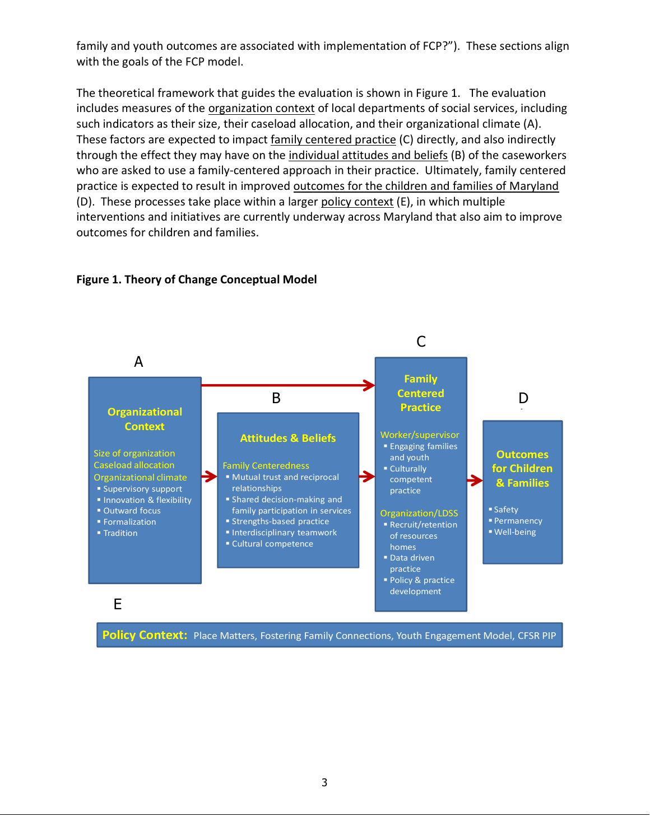family and youth outcomes are associated with implementation of FCP?"). These sections align with the goals of the FCP model.

The theoretical framework that guides the evaluation is shown in Figure 1. The evaluation includes measures of the organization context of local departments of social services, including such indicators as their size, their caseload allocation, and their organizational climate (A). These factors are expected to impact family centered practice (C) directly, and also indirectly through the effect they may have on the individual attitudes and beliefs (B) of the caseworkers who are asked to use a family-centered approach in their practice. Ultimately, family centered practice is expected to result in improved outcomes for the children and families of Maryland (D). These processes take place within a larger policy context (E), in which multiple interventions and initiatives are currently underway across Maryland that also aim to improve outcomes for children and families.



#### **Figure 1. Theory of Change Conceptual Model**

**Policy Context:** Place Matters, Fostering Family Connections, Youth Engagement Model, CFSR PIP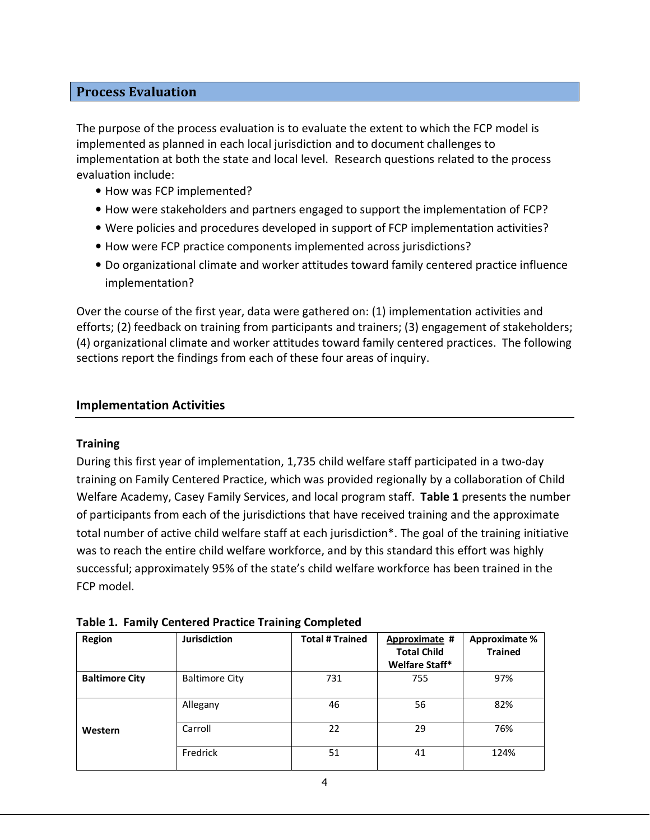#### **Process Evaluation**

The purpose of the process evaluation is to evaluate the extent to which the FCP model is implemented as planned in each local jurisdiction and to document challenges to implementation at both the state and local level. Research questions related to the process evaluation include:

- How was FCP implemented?
- How were stakeholders and partners engaged to support the implementation of FCP?
- Were policies and procedures developed in support of FCP implementation activities?
- How were FCP practice components implemented across jurisdictions?
- Do organizational climate and worker attitudes toward family centered practice influence implementation?

Over the course of the first year, data were gathered on: (1) implementation activities and efforts; (2) feedback on training from participants and trainers; (3) engagement of stakeholders; (4) organizational climate and worker attitudes toward family centered practices. The following sections report the findings from each of these four areas of inquiry.

#### **Implementation Activities**

#### **Training**

During this first year of implementation, 1,735 child welfare staff participated in a two-day training on Family Centered Practice, which was provided regionally by a collaboration of Child Welfare Academy, Casey Family Services, and local program staff. **Table 1** presents the number of participants from each of the jurisdictions that have received training and the approximate total number of active child welfare staff at each jurisdiction\*. The goal of the training initiative was to reach the entire child welfare workforce, and by this standard this effort was highly successful; approximately 95% of the state's child welfare workforce has been trained in the FCP model.

| Region                | <b>Jurisdiction</b>   | <b>Total # Trained</b> | Approximate #<br><b>Total Child</b><br>Welfare Staff* | <b>Approximate %</b><br><b>Trained</b> |
|-----------------------|-----------------------|------------------------|-------------------------------------------------------|----------------------------------------|
| <b>Baltimore City</b> | <b>Baltimore City</b> | 731                    | 755                                                   | 97%                                    |
|                       | Allegany              | 46                     | 56                                                    | 82%                                    |
| Western               | Carroll               | 22                     | 29                                                    | 76%                                    |
|                       | Fredrick              | 51                     | 41                                                    | 124%                                   |

|  | <b>Table 1. Family Centered Practice Training Completed</b> |  |  |  |
|--|-------------------------------------------------------------|--|--|--|
|--|-------------------------------------------------------------|--|--|--|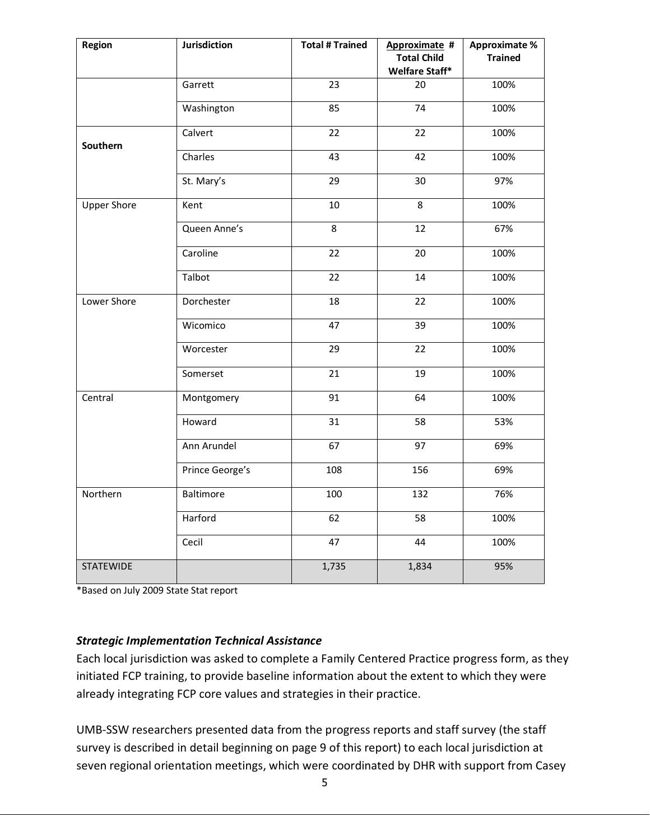| Region             | Jurisdiction    | <b>Total # Trained</b> | Approximate #<br><b>Total Child</b><br>Welfare Staff* | <b>Approximate %</b><br><b>Trained</b> |
|--------------------|-----------------|------------------------|-------------------------------------------------------|----------------------------------------|
|                    | Garrett         | $\overline{23}$        | 20                                                    | 100%                                   |
|                    | Washington      | 85                     | 74                                                    | 100%                                   |
| Southern           | Calvert         | 22                     | 22                                                    | 100%                                   |
|                    | Charles         | 43                     | 42                                                    | 100%                                   |
|                    | St. Mary's      | 29                     | 30                                                    | 97%                                    |
| <b>Upper Shore</b> | Kent            | 10                     | 8                                                     | 100%                                   |
|                    | Queen Anne's    | $\overline{8}$         | 12                                                    | 67%                                    |
|                    | Caroline        | 22                     | 20                                                    | 100%                                   |
|                    | Talbot          | 22                     | 14                                                    | 100%                                   |
| Lower Shore        | Dorchester      | 18                     | 22                                                    | 100%                                   |
|                    | Wicomico        | 47                     | 39                                                    | 100%                                   |
|                    | Worcester       | 29                     | 22                                                    | 100%                                   |
|                    | Somerset        | 21                     | 19                                                    | 100%                                   |
| Central            | Montgomery      | 91                     | 64                                                    | 100%                                   |
|                    | Howard          | 31                     | 58                                                    | 53%                                    |
|                    | Ann Arundel     | 67                     | 97                                                    | 69%                                    |
|                    | Prince George's | 108                    | 156                                                   | 69%                                    |
| Northern           | Baltimore       | 100                    | 132                                                   | 76%                                    |
|                    | Harford         | 62                     | 58                                                    | 100%                                   |
|                    | Cecil           | 47                     | 44                                                    | 100%                                   |
| <b>STATEWIDE</b>   |                 | 1,735                  | 1,834                                                 | 95%                                    |

\*Based on July 2009 State Stat report

### *Strategic Implementation Technical Assistance*

Each local jurisdiction was asked to complete a Family Centered Practice progress form, as they initiated FCP training, to provide baseline information about the extent to which they were already integrating FCP core values and strategies in their practice.

UMB-SSW researchers presented data from the progress reports and staff survey (the staff survey is described in detail beginning on page 9 of this report) to each local jurisdiction at seven regional orientation meetings, which were coordinated by DHR with support from Casey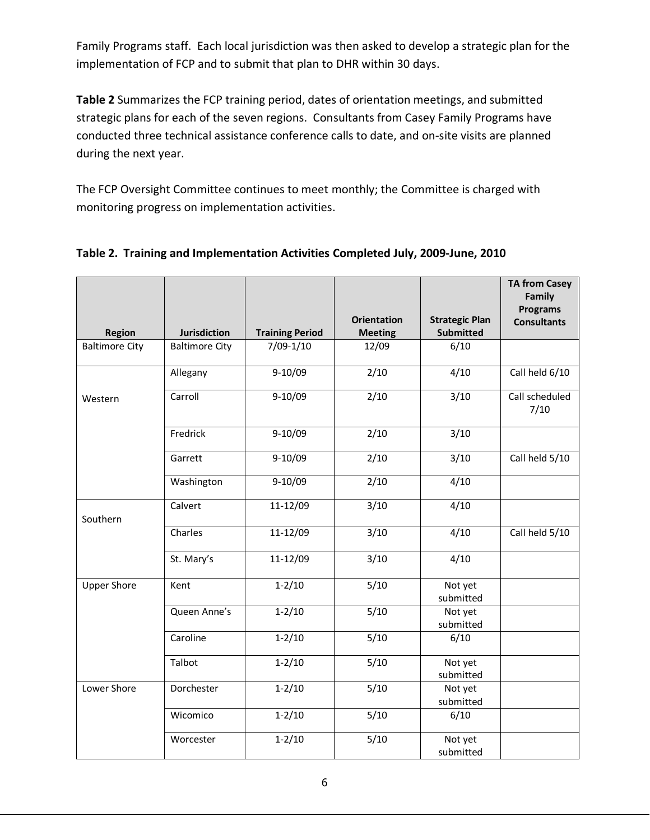Family Programs staff. Each local jurisdiction was then asked to develop a strategic plan for the implementation of FCP and to submit that plan to DHR within 30 days.

**Table 2** Summarizes the FCP training period, dates of orientation meetings, and submitted strategic plans for each of the seven regions. Consultants from Casey Family Programs have conducted three technical assistance conference calls to date, and on-site visits are planned during the next year.

The FCP Oversight Committee continues to meet monthly; the Committee is charged with monitoring progress on implementation activities.

|                       |                       |                        |                                      |                                           | <b>TA from Casey</b><br>Family |
|-----------------------|-----------------------|------------------------|--------------------------------------|-------------------------------------------|--------------------------------|
|                       |                       |                        |                                      |                                           | <b>Programs</b>                |
| <b>Region</b>         | <b>Jurisdiction</b>   | <b>Training Period</b> | <b>Orientation</b><br><b>Meeting</b> | <b>Strategic Plan</b><br><b>Submitted</b> | <b>Consultants</b>             |
| <b>Baltimore City</b> | <b>Baltimore City</b> | $7/09-1/10$            | 12/09                                | 6/10                                      |                                |
|                       |                       |                        |                                      |                                           |                                |
|                       | Allegany              | $9-10/09$              | 2/10                                 | 4/10                                      | Call held 6/10                 |
| Western               | Carroll               | $9-10/09$              | 2/10                                 | 3/10                                      | Call scheduled<br>7/10         |
|                       | Fredrick              | $9-10/09$              | 2/10                                 | 3/10                                      |                                |
|                       | Garrett               | $9-10/09$              | $\frac{2}{10}$                       | $\frac{3}{10}$                            | Call held 5/10                 |
|                       | Washington            | $9-10/09$              | $\frac{2}{10}$                       | 4/10                                      |                                |
| Southern              | Calvert               | 11-12/09               | 3/10                                 | 4/10                                      |                                |
|                       | Charles               | 11-12/09               | 3/10                                 | 4/10                                      | Call held 5/10                 |
|                       | St. Mary's            | 11-12/09               | 3/10                                 | 4/10                                      |                                |
| <b>Upper Shore</b>    | Kent                  | $1 - 2/10$             | 5/10                                 | Not yet<br>submitted                      |                                |
|                       | Queen Anne's          | $1 - 2/10$             | $\overline{5/10}$                    | Not yet<br>submitted                      |                                |
|                       | Caroline              | $1 - 2/10$             | $\overline{5/10}$                    | 6/10                                      |                                |
|                       | Talbot                | $1 - 2/10$             | $\frac{1}{5}{10}$                    | Not yet<br>submitted                      |                                |
| Lower Shore           | Dorchester            | $1 - 2/10$             | 5/10                                 | Not yet<br>submitted                      |                                |
|                       | Wicomico              | $1 - 2/10$             | 5/10                                 | 6/10                                      |                                |
|                       | Worcester             | $1 - 2/10$             | 5/10                                 | Not yet<br>submitted                      |                                |

### **Table 2. Training and Implementation Activities Completed July, 2009-June, 2010**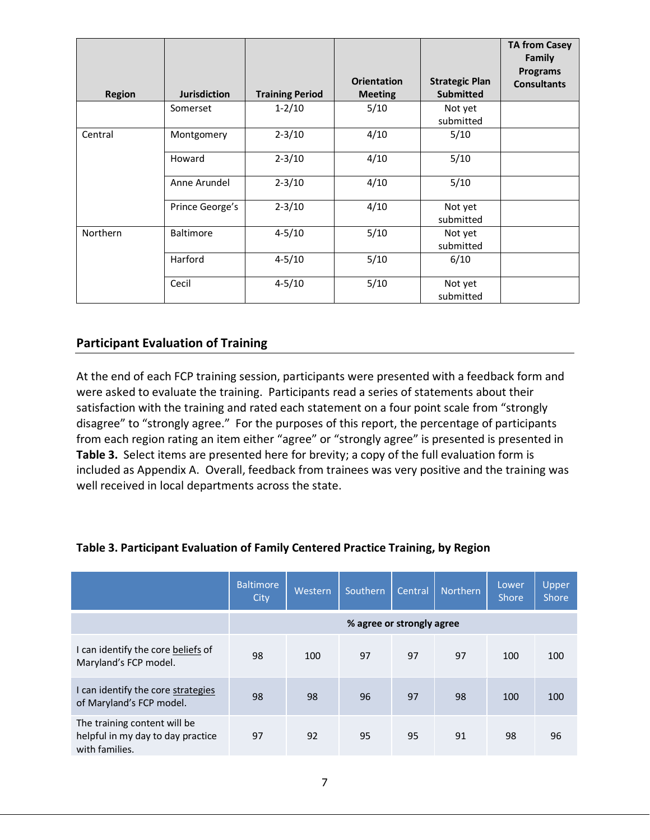|               |                     |                        |                                      |                                           | <b>TA from Casey</b><br><b>Family</b><br><b>Programs</b> |
|---------------|---------------------|------------------------|--------------------------------------|-------------------------------------------|----------------------------------------------------------|
| <b>Region</b> | <b>Jurisdiction</b> | <b>Training Period</b> | <b>Orientation</b><br><b>Meeting</b> | <b>Strategic Plan</b><br><b>Submitted</b> | <b>Consultants</b>                                       |
|               | Somerset            | $1 - 2/10$             | 5/10                                 | Not yet<br>submitted                      |                                                          |
| Central       | Montgomery          | $2 - 3/10$             | 4/10                                 | 5/10                                      |                                                          |
|               | Howard              | $2 - 3/10$             | 4/10                                 | 5/10                                      |                                                          |
|               | Anne Arundel        | $2 - 3/10$             | 4/10                                 | 5/10                                      |                                                          |
|               | Prince George's     | $2 - 3/10$             | 4/10                                 | Not yet<br>submitted                      |                                                          |
| Northern      | <b>Baltimore</b>    | $4 - 5/10$             | 5/10                                 | Not yet<br>submitted                      |                                                          |
|               | Harford             | $4 - 5/10$             | 5/10                                 | 6/10                                      |                                                          |
|               | Cecil               | $4 - 5/10$             | 5/10                                 | Not yet<br>submitted                      |                                                          |

## **Participant Evaluation of Training**

At the end of each FCP training session, participants were presented with a feedback form and were asked to evaluate the training. Participants read a series of statements about their satisfaction with the training and rated each statement on a four point scale from "strongly disagree" to "strongly agree." For the purposes of this report, the percentage of participants from each region rating an item either "agree" or "strongly agree" is presented is presented in **Table 3.** Select items are presented here for brevity; a copy of the full evaluation form is included as Appendix A. Overall, feedback from trainees was very positive and the training was well received in local departments across the state.

|                                                                                     | <b>Baltimore</b><br>City | Western                   | Southern | Central | <b>Northern</b> | Lower<br><b>Shore</b> | Upper<br><b>Shore</b> |  |
|-------------------------------------------------------------------------------------|--------------------------|---------------------------|----------|---------|-----------------|-----------------------|-----------------------|--|
|                                                                                     |                          | % agree or strongly agree |          |         |                 |                       |                       |  |
| I can identify the core beliefs of<br>Maryland's FCP model.                         | 98                       | 100                       | 97       | 97      | 97              | 100                   | 100                   |  |
| I can identify the core strategies<br>of Maryland's FCP model.                      | 98                       | 98                        | 96       | 97      | 98              | 100                   | 100                   |  |
| The training content will be<br>helpful in my day to day practice<br>with families. | 97                       | 92                        | 95       | 95      | 91              | 98                    | 96                    |  |

#### **Table 3. Participant Evaluation of Family Centered Practice Training, by Region**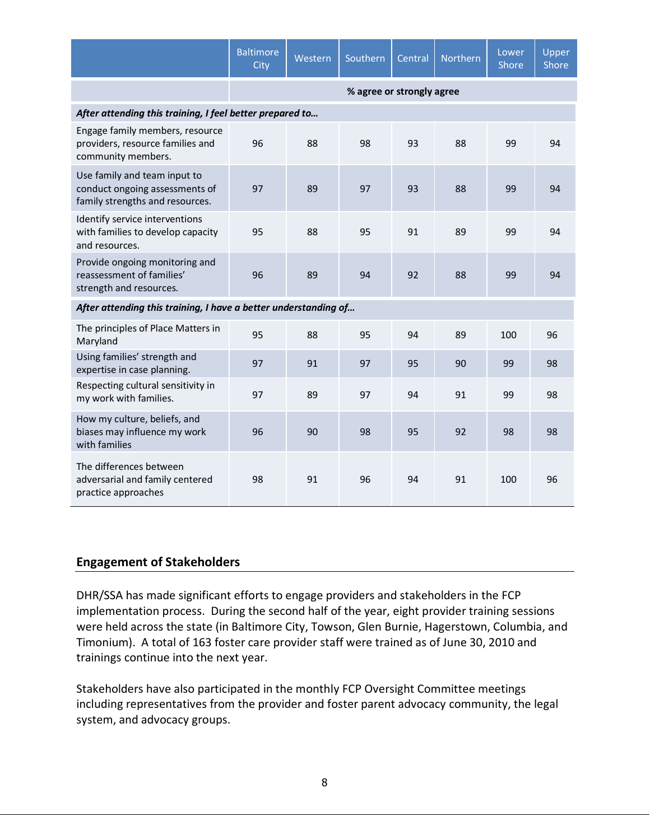|                                                                                                   | <b>Baltimore</b><br>City | Western                   | Southern | Central | Northern | Lower<br>Shore | Upper<br>Shore |  |  |  |  |
|---------------------------------------------------------------------------------------------------|--------------------------|---------------------------|----------|---------|----------|----------------|----------------|--|--|--|--|
|                                                                                                   |                          | % agree or strongly agree |          |         |          |                |                |  |  |  |  |
| After attending this training, I feel better prepared to                                          |                          |                           |          |         |          |                |                |  |  |  |  |
| Engage family members, resource<br>providers, resource families and<br>community members.         | 96                       | 88                        | 98       | 93      | 88       | 99             | 94             |  |  |  |  |
| Use family and team input to<br>conduct ongoing assessments of<br>family strengths and resources. | 97                       | 89                        | 97       | 93      | 88       | 99             | 94             |  |  |  |  |
| Identify service interventions<br>with families to develop capacity<br>and resources.             | 95                       | 88                        | 95       | 91      | 89       | 99             | 94             |  |  |  |  |
| Provide ongoing monitoring and<br>reassessment of families'<br>strength and resources.            | 96                       | 89                        | 94       | 92      | 88       | 99             | 94             |  |  |  |  |
| After attending this training, I have a better understanding of                                   |                          |                           |          |         |          |                |                |  |  |  |  |
| The principles of Place Matters in<br>Maryland                                                    | 95                       | 88                        | 95       | 94      | 89       | 100            | 96             |  |  |  |  |
| Using families' strength and<br>expertise in case planning.                                       | 97                       | 91                        | 97       | 95      | 90       | 99             | 98             |  |  |  |  |
| Respecting cultural sensitivity in<br>my work with families.                                      | 97                       | 89                        | 97       | 94      | 91       | 99             | 98             |  |  |  |  |
| How my culture, beliefs, and<br>biases may influence my work<br>with families                     | 96                       | 90                        | 98       | 95      | 92       | 98             | 98             |  |  |  |  |
| The differences between<br>adversarial and family centered<br>practice approaches                 | 98                       | 91                        | 96       | 94      | 91       | 100            | 96             |  |  |  |  |

## **Engagement of Stakeholders**

DHR/SSA has made significant efforts to engage providers and stakeholders in the FCP implementation process. During the second half of the year, eight provider training sessions were held across the state (in Baltimore City, Towson, Glen Burnie, Hagerstown, Columbia, and Timonium). A total of 163 foster care provider staff were trained as of June 30, 2010 and trainings continue into the next year.

Stakeholders have also participated in the monthly FCP Oversight Committee meetings including representatives from the provider and foster parent advocacy community, the legal system, and advocacy groups.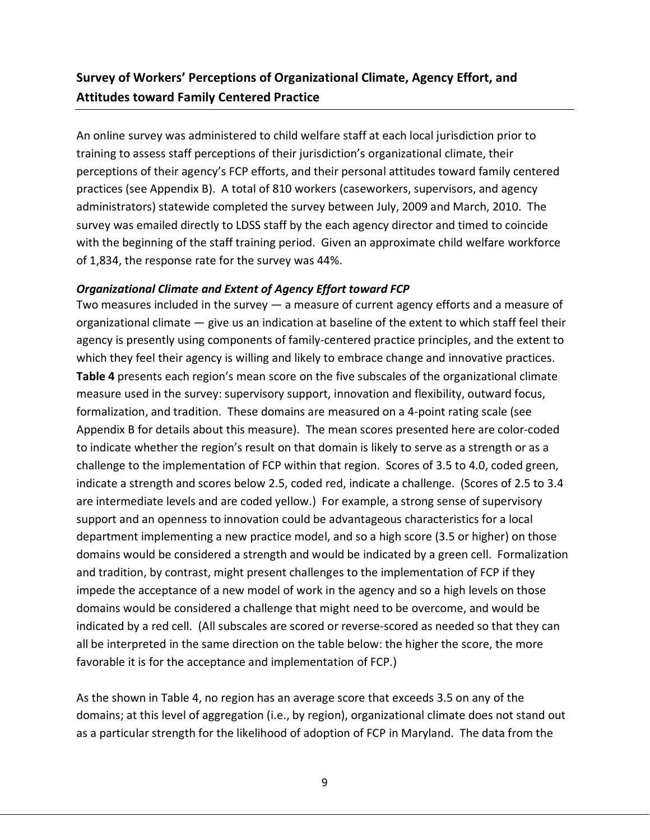# **Survey of Workers' Perceptions of Organizational Climate, Agency Effort, and Attitudes toward Family Centered Practice**

An online survey was administered to child welfare staff at each local jurisdiction prior to training to assess staff perceptions of their jurisdiction's organizational climate, their perceptions of their agency's FCP efforts, and their personal attitudes toward family centered practices (see Appendix B). A total of 810 workers (caseworkers, supervisors, and agency administrators) statewide completed the survey between July, 2009 and March, 2010. The survey was emailed directly to LDSS staff by the each agency director and timed to coincide with the beginning of the staff training period. Given an approximate child welfare workforce of 1,834, the response rate for the survey was 44%.

#### *Organizational Climate and Extent of Agency Effort toward FCP*

Two measures included in the survey — a measure of current agency efforts and a measure of organizational climate — give us an indication at baseline of the extent to which staff feel their agency is presently using components of family-centered practice principles, and the extent to which they feel their agency is willing and likely to embrace change and innovative practices. **Table 4** presents each region's mean score on the five subscales of the organizational climate measure used in the survey: supervisory support, innovation and flexibility, outward focus, formalization, and tradition. These domains are measured on a 4-point rating scale (see Appendix B for details about this measure). The mean scores presented here are color-coded to indicate whether the region's result on that domain is likely to serve as a strength or as a challenge to the implementation of FCP within that region. Scores of 3.5 to 4.0, coded green, indicate a strength and scores below 2.5, coded red, indicate a challenge. (Scores of 2.5 to 3.4 are intermediate levels and are coded yellow.) For example, a strong sense of supervisory support and an openness to innovation could be advantageous characteristics for a local department implementing a new practice model, and so a high score (3.5 or higher) on those domains would be considered a strength and would be indicated by a green cell. Formalization and tradition, by contrast, might present challenges to the implementation of FCP if they impede the acceptance of a new model of work in the agency and so a high levels on those domains would be considered a challenge that might need to be overcome, and would be indicated by a red cell. (All subscales are scored or reverse-scored as needed so that they can all be interpreted in the same direction on the table below: the higher the score, the more favorable it is for the acceptance and implementation of FCP.)

As the shown in Table 4, no region has an average score that exceeds 3.5 on any of the domains; at this level of aggregation (i.e., by region), organizational climate does not stand out as a particular strength for the likelihood of adoption of FCP in Maryland. The data from the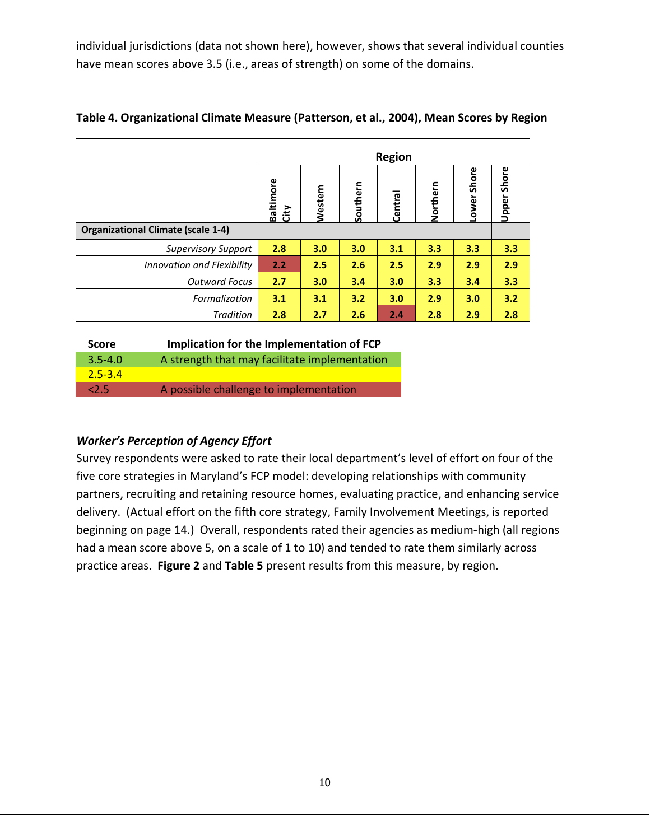individual jurisdictions (data not shown here), however, shows that several individual counties have mean scores above 3.5 (i.e., areas of strength) on some of the domains.

|                                           | <b>Region</b>            |         |          |         |          |                |                       |
|-------------------------------------------|--------------------------|---------|----------|---------|----------|----------------|-----------------------|
|                                           | <b>Baltimore</b><br>City | Western | Southern | Central | Northern | Shore<br>Lower | Shore<br><b>Upper</b> |
| <b>Organizational Climate (scale 1-4)</b> |                          |         |          |         |          |                |                       |
| <b>Supervisory Support</b>                | 2.8                      | 3.0     | 3.0      | 3.1     | 3.3      | 3.3            | 3.3                   |
| <b>Innovation and Flexibility</b>         | 2.2                      | 2.5     | 2.6      | 2.5     | 2.9      | 2.9            | 2.9                   |
| <b>Outward Focus</b>                      | 2.7                      | 3.0     | 3.4      | 3.0     | 3.3      | 3.4            | 3.3                   |
| Formalization                             | 3.1                      | 3.1     | 3.2      | 3.0     | 2.9      | 3.0            | 3.2                   |
| Tradition                                 | 2.8                      | 2.7     | 2.6      | 2.4     | 2.8      | 2.9            | 2.8                   |

| Table 4. Organizational Climate Measure (Patterson, et al., 2004), Mean Scores by Region |  |  |  |
|------------------------------------------------------------------------------------------|--|--|--|
|------------------------------------------------------------------------------------------|--|--|--|

| <b>Score</b>  | Implication for the Implementation of FCP     |
|---------------|-----------------------------------------------|
| $3.5 - 4.0$   | A strength that may facilitate implementation |
| $7.5 - 3.4$   |                                               |
| $2.5^{\circ}$ | A possible challenge to implementation        |

### *Worker's Perception of Agency Effort*

Survey respondents were asked to rate their local department's level of effort on four of the five core strategies in Maryland's FCP model: developing relationships with community partners, recruiting and retaining resource homes, evaluating practice, and enhancing service delivery. (Actual effort on the fifth core strategy, Family Involvement Meetings, is reported beginning on page 14.) Overall, respondents rated their agencies as medium-high (all regions had a mean score above 5, on a scale of 1 to 10) and tended to rate them similarly across practice areas. **Figure 2** and **Table 5** present results from this measure, by region.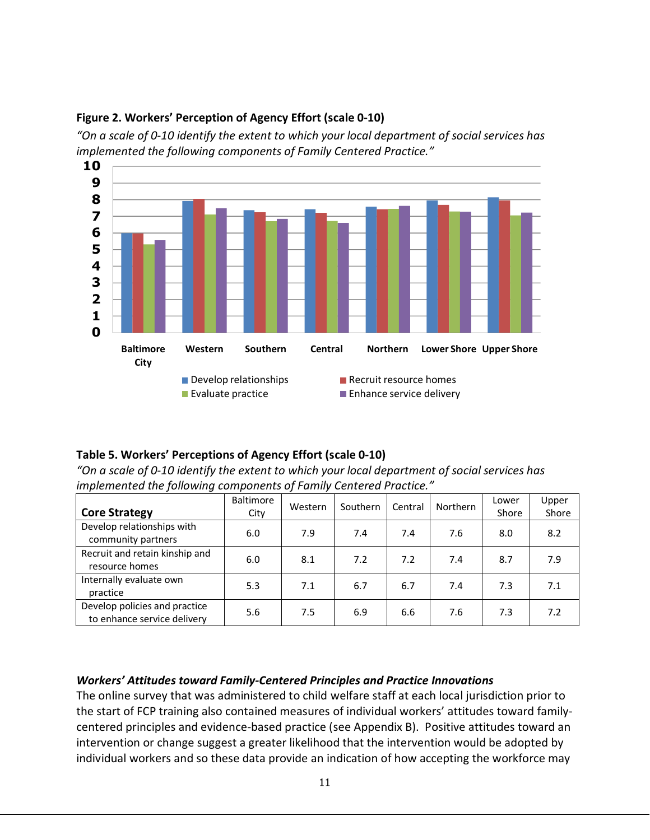

#### **Figure 2. Workers' Perception of Agency Effort (scale 0-10)**

*"On a scale of 0-10 identify the extent to which your local department of social services has implemented the following components of Family Centered Practice."*

#### **Table 5. Workers' Perceptions of Agency Effort (scale 0-10)**

*"On a scale of 0-10 identify the extent to which your local department of social services has implemented the following components of Family Centered Practice."*

| <b>Core Strategy</b>                                         | <b>Baltimore</b><br>City | Western | Southern | Central | Northern | Lower<br>Shore | Upper<br>Shore |
|--------------------------------------------------------------|--------------------------|---------|----------|---------|----------|----------------|----------------|
| Develop relationships with<br>community partners             | 6.0                      | 7.9     | 7.4      | 7.4     | 7.6      | 8.0            | 8.2            |
| Recruit and retain kinship and<br>resource homes             | 6.0                      | 8.1     | 7.2      | 7.2     | 7.4      | 8.7            | 7.9            |
| Internally evaluate own<br>practice                          | 5.3                      | 7.1     | 6.7      | 6.7     | 7.4      | 7.3            | 7.1            |
| Develop policies and practice<br>to enhance service delivery | 5.6                      | 7.5     | 6.9      | 6.6     | 7.6      | 7.3            | 7.2            |

#### *Workers' Attitudes toward Family-Centered Principles and Practice Innovations*

The online survey that was administered to child welfare staff at each local jurisdiction prior to the start of FCP training also contained measures of individual workers' attitudes toward familycentered principles and evidence-based practice (see Appendix B). Positive attitudes toward an intervention or change suggest a greater likelihood that the intervention would be adopted by individual workers and so these data provide an indication of how accepting the workforce may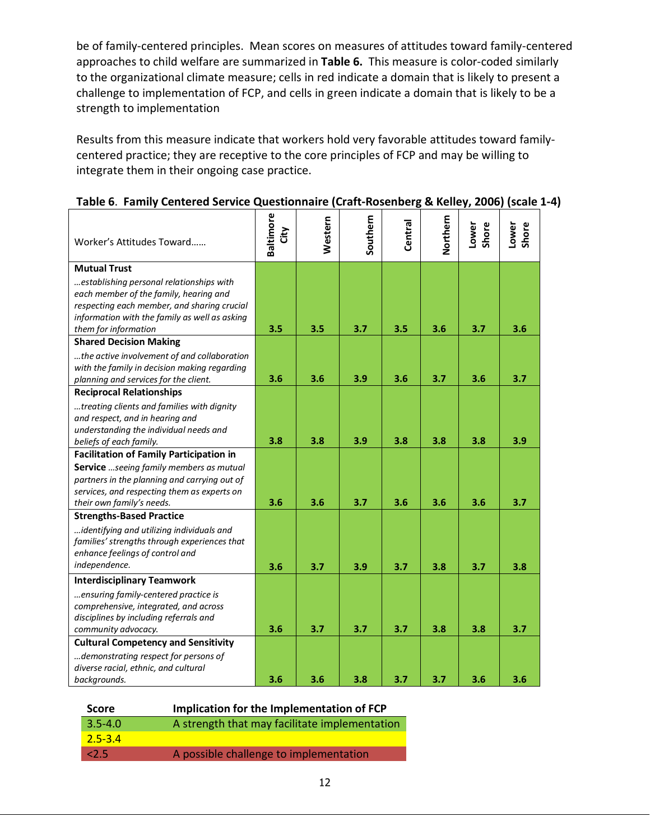be of family-centered principles. Mean scores on measures of attitudes toward family-centered approaches to child welfare are summarized in **Table 6.** This measure is color-coded similarly to the organizational climate measure; cells in red indicate a domain that is likely to present a challenge to implementation of FCP, and cells in green indicate a domain that is likely to be a strength to implementation

Results from this measure indicate that workers hold very favorable attitudes toward familycentered practice; they are receptive to the core principles of FCP and may be willing to integrate them in their ongoing case practice.

| Worker's Attitudes Toward                                                       | <b>Baltimore</b><br>City | Western | Southern | Central | Vorthern | Shore<br>Lower | Shore<br>Lower |
|---------------------------------------------------------------------------------|--------------------------|---------|----------|---------|----------|----------------|----------------|
| <b>Mutual Trust</b>                                                             |                          |         |          |         |          |                |                |
| establishing personal relationships with                                        |                          |         |          |         |          |                |                |
| each member of the family, hearing and                                          |                          |         |          |         |          |                |                |
| respecting each member, and sharing crucial                                     |                          |         |          |         |          |                |                |
| information with the family as well as asking                                   |                          |         |          |         |          |                |                |
| them for information                                                            | 3.5                      | 3.5     | 3.7      | 3.5     | 3.6      | 3.7            | 3.6            |
| <b>Shared Decision Making</b>                                                   |                          |         |          |         |          |                |                |
| the active involvement of and collaboration                                     |                          |         |          |         |          |                |                |
| with the family in decision making regarding                                    |                          |         |          |         |          |                |                |
| planning and services for the client.                                           | 3.6                      | 3.6     | 3.9      | 3.6     | 3.7      | 3.6            | 3.7            |
| <b>Reciprocal Relationships</b>                                                 |                          |         |          |         |          |                |                |
| treating clients and families with dignity                                      |                          |         |          |         |          |                |                |
| and respect, and in hearing and                                                 |                          |         |          |         |          |                |                |
| understanding the individual needs and                                          |                          |         |          |         |          |                |                |
| beliefs of each family.                                                         | 3.8                      | 3.8     | 3.9      | 3.8     | 3.8      | 3.8            | 3.9            |
| <b>Facilitation of Family Participation in</b>                                  |                          |         |          |         |          |                |                |
| Service  seeing family members as mutual                                        |                          |         |          |         |          |                |                |
| partners in the planning and carrying out of                                    |                          |         |          |         |          |                |                |
| services, and respecting them as experts on<br>their own family's needs.        | 3.6                      | 3.6     | 3.7      | 3.6     | 3.6      | 3.6            | 3.7            |
| <b>Strengths-Based Practice</b>                                                 |                          |         |          |         |          |                |                |
|                                                                                 |                          |         |          |         |          |                |                |
| identifying and utilizing individuals and                                       |                          |         |          |         |          |                |                |
| families' strengths through experiences that<br>enhance feelings of control and |                          |         |          |         |          |                |                |
| independence.                                                                   |                          |         |          |         |          |                |                |
|                                                                                 | 3.6                      | 3.7     | 3.9      | 3.7     | 3.8      | 3.7            | 3.8            |
| <b>Interdisciplinary Teamwork</b>                                               |                          |         |          |         |          |                |                |
| ensuring family-centered practice is                                            |                          |         |          |         |          |                |                |
| comprehensive, integrated, and across                                           |                          |         |          |         |          |                |                |
| disciplines by including referrals and                                          |                          |         |          |         |          |                |                |
| community advocacy.                                                             | 3.6                      | 3.7     | 3.7      | 3.7     | 3.8      | 3.8            | 3.7            |
| <b>Cultural Competency and Sensitivity</b>                                      |                          |         |          |         |          |                |                |
| demonstrating respect for persons of                                            |                          |         |          |         |          |                |                |
| diverse racial, ethnic, and cultural                                            |                          |         |          |         |          |                |                |
| backgrounds.                                                                    | 3.6                      | 3.6     | 3.8      | 3.7     | 3.7      | 3.6            | 3.6            |

## **Table 6**. **Family Centered Service Questionnaire (Craft-Rosenberg & Kelley, 2006) (scale 1-4)**

| <b>Score</b> | Implication for the Implementation of FCP     |
|--------------|-----------------------------------------------|
| $3.5 - 4.0$  | A strength that may facilitate implementation |
| $2.5 - 3.4$  |                                               |
| 2.5/         | A possible challenge to implementation        |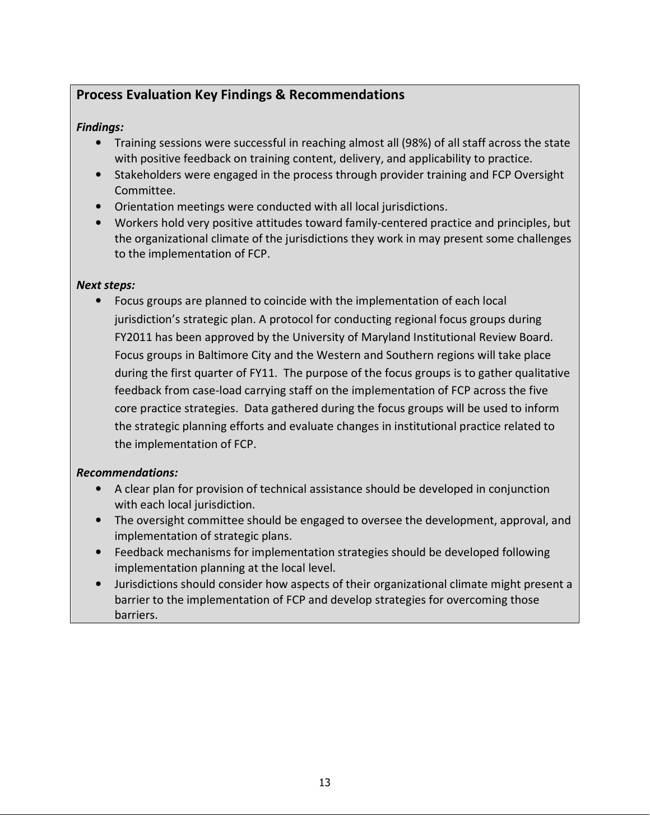# **Process Evaluation Key Findings & Recommendations**

## *Findings:*

- Training sessions were successful in reaching almost all (98%) of all staff across the state with positive feedback on training content, delivery, and applicability to practice.
- Stakeholders were engaged in the process through provider training and FCP Oversight Committee.
- Orientation meetings were conducted with all local jurisdictions.
- Workers hold very positive attitudes toward family-centered practice and principles, but the organizational climate of the jurisdictions they work in may present some challenges to the implementation of FCP.

### *Next steps:*

• Focus groups are planned to coincide with the implementation of each local jurisdiction's strategic plan. A protocol for conducting regional focus groups during FY2011 has been approved by the University of Maryland Institutional Review Board. Focus groups in Baltimore City and the Western and Southern regions will take place during the first quarter of FY11. The purpose of the focus groups is to gather qualitative feedback from case-load carrying staff on the implementation of FCP across the five core practice strategies. Data gathered during the focus groups will be used to inform the strategic planning efforts and evaluate changes in institutional practice related to the implementation of FCP.

### *Recommendations:*

- A clear plan for provision of technical assistance should be developed in conjunction with each local jurisdiction.
- The oversight committee should be engaged to oversee the development, approval, and implementation of strategic plans.
- Feedback mechanisms for implementation strategies should be developed following implementation planning at the local level.
- Jurisdictions should consider how aspects of their organizational climate might present a barrier to the implementation of FCP and develop strategies for overcoming those barriers.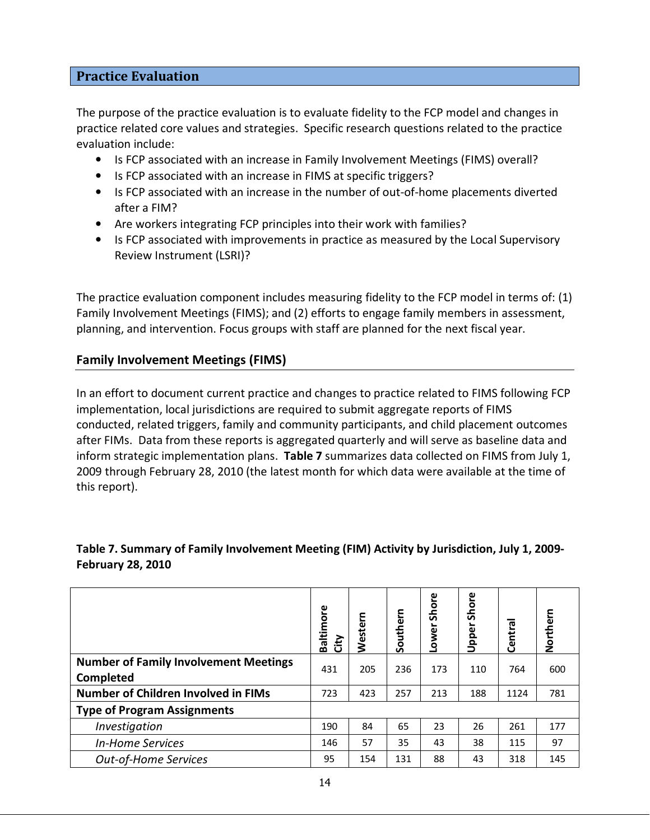#### **Practice Evaluation**

The purpose of the practice evaluation is to evaluate fidelity to the FCP model and changes in practice related core values and strategies. Specific research questions related to the practice evaluation include:

- Is FCP associated with an increase in Family Involvement Meetings (FIMS) overall?
- Is FCP associated with an increase in FIMS at specific triggers?
- Is FCP associated with an increase in the number of out-of-home placements diverted after a FIM?
- Are workers integrating FCP principles into their work with families?
- Is FCP associated with improvements in practice as measured by the Local Supervisory Review Instrument (LSRI)?

The practice evaluation component includes measuring fidelity to the FCP model in terms of: (1) Family Involvement Meetings (FIMS); and (2) efforts to engage family members in assessment, planning, and intervention. Focus groups with staff are planned for the next fiscal year.

#### **Family Involvement Meetings (FIMS)**

In an effort to document current practice and changes to practice related to FIMS following FCP implementation, local jurisdictions are required to submit aggregate reports of FIMS conducted, related triggers, family and community participants, and child placement outcomes after FIMs. Data from these reports is aggregated quarterly and will serve as baseline data and inform strategic implementation plans. **Table 7** summarizes data collected on FIMS from July 1, 2009 through February 28, 2010 (the latest month for which data were available at the time of this report).

### **Table 7. Summary of Family Involvement Meeting (FIM) Activity by Jurisdiction, July 1, 2009- February 28, 2010**

|                                                           | <b>Baltimore</b><br>City | Western | Southern | ω<br>Shoi<br>$\overline{\mathbf{c}}$<br>٥ | Shore<br>Upper | Central | Northern |
|-----------------------------------------------------------|--------------------------|---------|----------|-------------------------------------------|----------------|---------|----------|
| <b>Number of Family Involvement Meetings</b><br>Completed | 431                      | 205     | 236      | 173                                       | 110            | 764     | 600      |
| <b>Number of Children Involved in FIMs</b>                | 723                      | 423     | 257      | 213                                       | 188            | 1124    | 781      |
| <b>Type of Program Assignments</b>                        |                          |         |          |                                           |                |         |          |
| Investigation                                             | 190                      | 84      | 65       | 23                                        | 26             | 261     | 177      |
| <b>In-Home Services</b>                                   | 146                      | 57      | 35       | 43                                        | 38             | 115     | 97       |
| <b>Out-of-Home Services</b>                               | 95                       | 154     | 131      | 88                                        | 43             | 318     | 145      |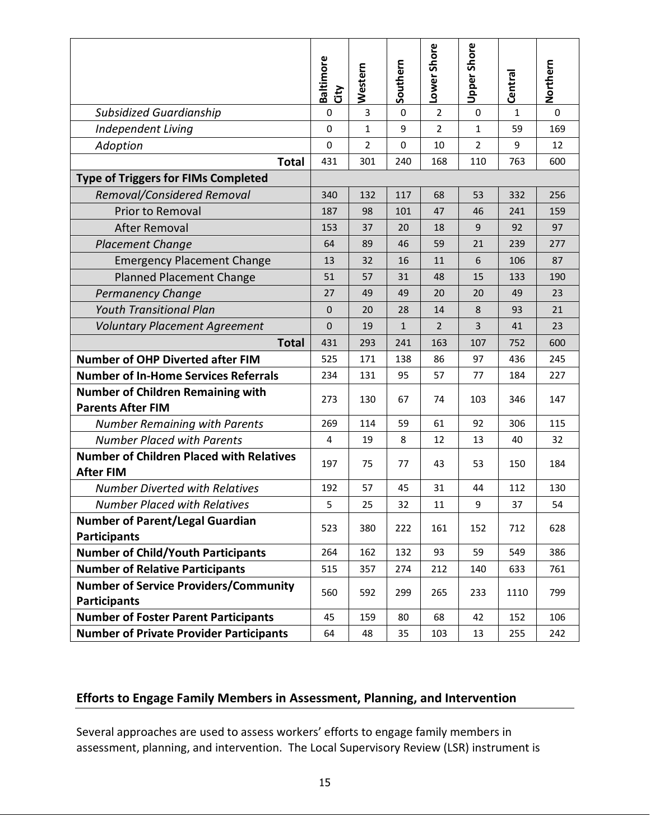|                                                                      | Baltimore<br>City | Western        | Southern     | Lower Shore    | <b>Upper Shore</b> | Centra | Northern |
|----------------------------------------------------------------------|-------------------|----------------|--------------|----------------|--------------------|--------|----------|
| <b>Subsidized Guardianship</b>                                       | $\pmb{0}$         | 3              | $\mathbf 0$  | $\overline{2}$ | 0                  | 1      | $\Omega$ |
| Independent Living                                                   | $\mathbf 0$       | 1              | 9            | $\overline{2}$ | $\mathbf{1}$       | 59     | 169      |
| Adoption                                                             | $\mathbf 0$       | $\overline{2}$ | $\Omega$     | 10             | $\overline{2}$     | 9      | 12       |
| <b>Total</b>                                                         | 431               | 301            | 240          | 168            | 110                | 763    | 600      |
| <b>Type of Triggers for FIMs Completed</b>                           |                   |                |              |                |                    |        |          |
| Removal/Considered Removal                                           | 340               | 132            | 117          | 68             | 53                 | 332    | 256      |
| Prior to Removal                                                     | 187               | 98             | 101          | 47             | 46                 | 241    | 159      |
| After Removal                                                        | 153               | 37             | 20           | 18             | 9                  | 92     | 97       |
| <b>Placement Change</b>                                              | 64                | 89             | 46           | 59             | 21                 | 239    | 277      |
| <b>Emergency Placement Change</b>                                    | 13                | 32             | 16           | 11             | 6                  | 106    | 87       |
| <b>Planned Placement Change</b>                                      | 51                | 57             | 31           | 48             | 15                 | 133    | 190      |
| <b>Permanency Change</b>                                             | 27                | 49             | 49           | 20             | 20                 | 49     | 23       |
| <b>Youth Transitional Plan</b>                                       | $\mathbf{0}$      | 20             | 28           | 14             | 8                  | 93     | 21       |
| <b>Voluntary Placement Agreement</b>                                 | $\mathbf{0}$      | 19             | $\mathbf{1}$ | $\overline{2}$ | 3                  | 41     | 23       |
| <b>Total</b>                                                         | 431               | 293            | 241          | 163            | 107                | 752    | 600      |
| <b>Number of OHP Diverted after FIM</b>                              | 525               | 171            | 138          | 86             | 97                 | 436    | 245      |
| <b>Number of In-Home Services Referrals</b>                          | 234               | 131            | 95           | 57             | 77                 | 184    | 227      |
| <b>Number of Children Remaining with</b><br><b>Parents After FIM</b> | 273               | 130            | 67           | 74             | 103                | 346    | 147      |
| <b>Number Remaining with Parents</b>                                 | 269               | 114            | 59           | 61             | 92                 | 306    | 115      |
| <b>Number Placed with Parents</b>                                    | 4                 | 19             | 8            | 12             | 13                 | 40     | 32       |
| <b>Number of Children Placed with Relatives</b><br><b>After FIM</b>  | 197               | 75             | 77           | 43             | 53                 | 150    | 184      |
| <b>Number Diverted with Relatives</b>                                | 192               | 57             | 45           | 31             | 44                 | 112    | 130      |
| <b>Number Placed with Relatives</b>                                  | 5                 | 25             | 32           | 11             | 9                  | 37     | 54       |
| <b>Number of Parent/Legal Guardian</b><br><b>Participants</b>        | 523               | 380            | 222          | 161            | 152                | 712    | 628      |
| <b>Number of Child/Youth Participants</b>                            | 264               | 162            | 132          | 93             | 59                 | 549    | 386      |
| <b>Number of Relative Participants</b>                               | 515               | 357            | 274          | 212            | 140                | 633    | 761      |
| <b>Number of Service Providers/Community</b><br><b>Participants</b>  | 560               | 592            | 299          | 265            | 233                | 1110   | 799      |
| <b>Number of Foster Parent Participants</b>                          | 45                | 159            | 80           | 68             | 42                 | 152    | 106      |
| <b>Number of Private Provider Participants</b>                       | 64                | 48             | 35           | 103            | 13                 | 255    | 242      |

## **Efforts to Engage Family Members in Assessment, Planning, and Intervention**

Several approaches are used to assess workers' efforts to engage family members in assessment, planning, and intervention. The Local Supervisory Review (LSR) instrument is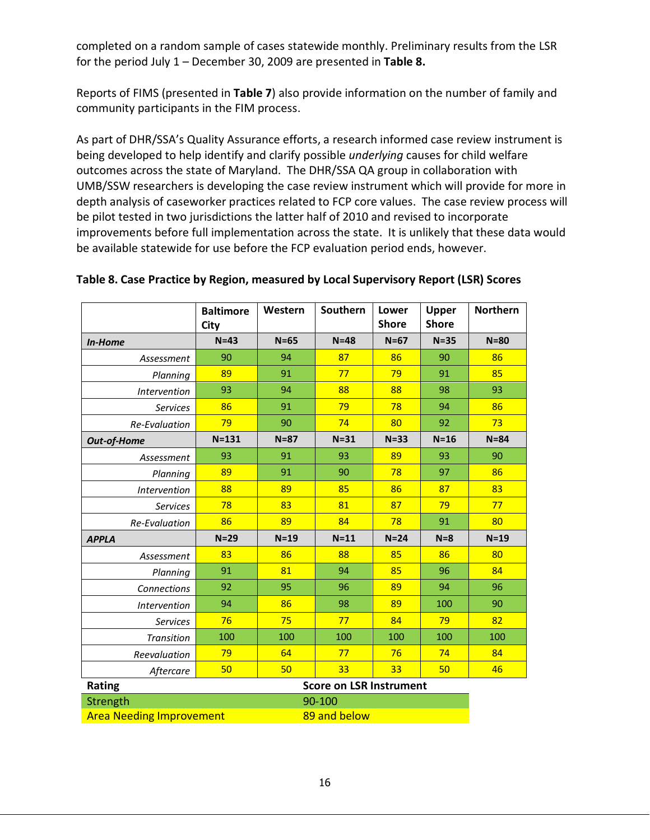completed on a random sample of cases statewide monthly. Preliminary results from the LSR for the period July 1 – December 30, 2009 are presented in **Table 8.**

Reports of FIMS (presented in **Table 7**) also provide information on the number of family and community participants in the FIM process.

As part of DHR/SSA's Quality Assurance efforts, a research informed case review instrument is being developed to help identify and clarify possible *underlying* causes for child welfare outcomes across the state of Maryland. The DHR/SSA QA group in collaboration with UMB/SSW researchers is developing the case review instrument which will provide for more in depth analysis of caseworker practices related to FCP core values. The case review process will be pilot tested in two jurisdictions the latter half of 2010 and revised to incorporate improvements before full implementation across the state. It is unlikely that these data would be available statewide for use before the FCP evaluation period ends, however.

|                                 | <b>Baltimore</b><br>City | Western      | Southern                       | Lower<br><b>Shore</b> | Upper<br><b>Shore</b> | <b>Northern</b> |
|---------------------------------|--------------------------|--------------|--------------------------------|-----------------------|-----------------------|-----------------|
| In-Home                         | $N=43$                   | $N=65$       | $N = 48$                       | $N=67$                | $N = 35$              | $N = 80$        |
| Assessment                      | 90                       | 94           | 87                             | 86                    | 90                    | 86              |
| Planning                        | 89                       | 91           | 77                             | 79                    | 91                    | 85              |
| Intervention                    | 93                       | 94           | 88                             | 88                    | 98                    | 93              |
| <b>Services</b>                 | 86                       | 91           | 79                             | 78                    | 94                    | 86              |
| <b>Re-Evaluation</b>            | 79                       | 90           | 74                             | 80                    | 92                    | 73              |
| Out-of-Home                     | $N = 131$                | $N = 87$     | $N = 31$                       | $N = 33$              | $N=16$                | $N = 84$        |
| Assessment                      | 93                       | 91           | 93                             | 89                    | 93                    | 90              |
| Planning                        | 89                       | 91           | 90                             | 78                    | 97                    | 86              |
| Intervention                    | 88                       | 89           | 85                             | 86                    | 87                    | 83              |
| <b>Services</b>                 | 78                       | 83           | 81                             | 87                    | 79                    | 77              |
| <b>Re-Evaluation</b>            | 86                       | 89           | 84                             | 78                    | 91                    | 80              |
| <b>APPLA</b>                    | $N=29$                   | $N=19$       | $N=11$                         | $N=24$                | $N=8$                 | $N=19$          |
| Assessment                      | 83                       | 86           | 88                             | 85                    | 86                    | 80              |
| Planning                        | 91                       | 81           | 94                             | 85                    | 96                    | 84              |
| Connections                     | 92                       | 95           | 96                             | 89                    | 94                    | 96              |
| <i><b>Intervention</b></i>      | 94                       | 86           | 98                             | 89                    | 100                   | 90              |
| <b>Services</b>                 | 76                       | 75           | 77                             | 84                    | 79                    | 82              |
| <b>Transition</b>               | 100                      | 100          | 100                            | 100                   | 100                   | 100             |
| Reevaluation                    | 79                       | 64           | 77                             | 76                    | 74                    | 84              |
| Aftercare                       | 50                       | 50           | 33                             | 33                    | 50                    | 46              |
| Rating                          |                          |              | <b>Score on LSR Instrument</b> |                       |                       |                 |
| Strength                        |                          |              | 90-100                         |                       |                       |                 |
| <b>Area Needing Improvement</b> |                          | 89 and below |                                |                       |                       |                 |

#### **Table 8. Case Practice by Region, measured by Local Supervisory Report (LSR) Scores**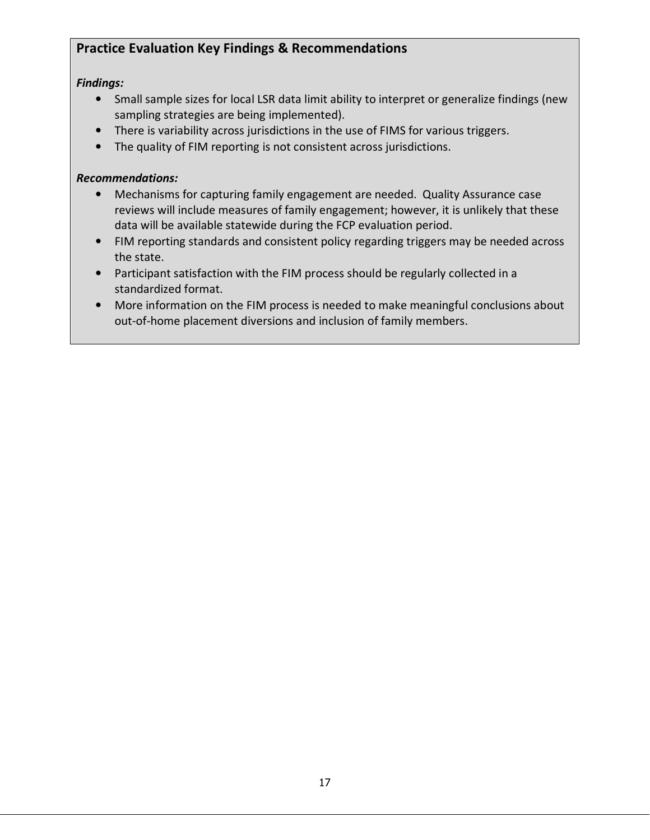# **Practice Evaluation Key Findings & Recommendations**

## *Findings:*

- Small sample sizes for local LSR data limit ability to interpret or generalize findings (new sampling strategies are being implemented).
- There is variability across jurisdictions in the use of FIMS for various triggers.
- The quality of FIM reporting is not consistent across jurisdictions.

## *Recommendations:*

- Mechanisms for capturing family engagement are needed. Quality Assurance case reviews will include measures of family engagement; however, it is unlikely that these data will be available statewide during the FCP evaluation period.
- FIM reporting standards and consistent policy regarding triggers may be needed across the state.
- Participant satisfaction with the FIM process should be regularly collected in a standardized format.
- More information on the FIM process is needed to make meaningful conclusions about out-of-home placement diversions and inclusion of family members.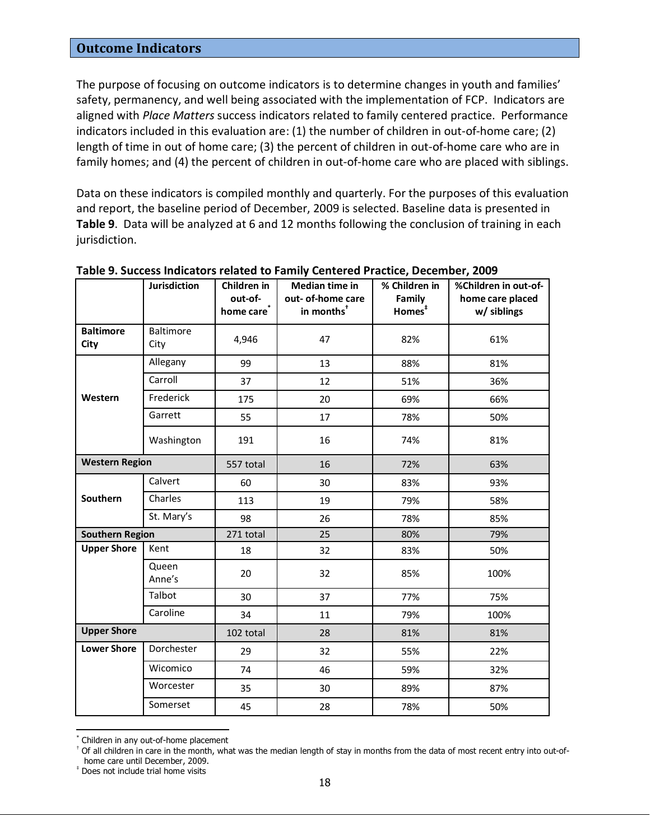### **Outcome Indicators**

The purpose of focusing on outcome indicators is to determine changes in youth and families' safety, permanency, and well being associated with the implementation of FCP. Indicators are aligned with *Place Matters* success indicators related to family centered practice. Performance indicators included in this evaluation are: (1) the number of children in out-of-home care; (2) length of time in out of home care; (3) the percent of children in out-of-home care who are in family homes; and (4) the percent of children in out-of-home care who are placed with siblings.

Data on these indicators is compiled monthly and quarterly. For the purposes of this evaluation and report, the baseline period of December, 2009 is selected. Baseline data is presented in **Table 9**. Data will be analyzed at 6 and 12 months following the conclusion of training in each jurisdiction.

|                          | <b>Jurisdiction</b>      | Children in<br>out-of-<br>home care <sup>®</sup> | Median time in<br>out- of-home care<br>in months <sup>+</sup> | % Children in<br>Family<br>Homes <sup>#</sup> | %Children in out-of-<br>home care placed<br>w/ siblings |
|--------------------------|--------------------------|--------------------------------------------------|---------------------------------------------------------------|-----------------------------------------------|---------------------------------------------------------|
| <b>Baltimore</b><br>City | <b>Baltimore</b><br>City | 4,946                                            | 47                                                            | 82%                                           | 61%                                                     |
|                          | Allegany                 | 99                                               | 13                                                            | 88%                                           | 81%                                                     |
|                          | Carroll                  | 37                                               | 12                                                            | 51%                                           | 36%                                                     |
| Western                  | Frederick                | 175                                              | 20                                                            | 69%                                           | 66%                                                     |
|                          | Garrett                  | 55                                               | 17                                                            | 78%                                           | 50%                                                     |
|                          | Washington               | 191                                              | 16                                                            | 74%                                           | 81%                                                     |
| <b>Western Region</b>    |                          | 557 total                                        | 16                                                            | 72%                                           | 63%                                                     |
|                          | Calvert                  | 60                                               | 30                                                            | 83%                                           | 93%                                                     |
| Southern                 | Charles                  | 113                                              | 19                                                            | 79%                                           | 58%                                                     |
|                          | St. Mary's               | 98                                               | 26                                                            | 78%                                           | 85%                                                     |
| <b>Southern Region</b>   |                          | 271 total                                        | 25                                                            | 80%                                           | 79%                                                     |
| <b>Upper Shore</b>       | Kent                     | 18                                               | 32                                                            | 83%                                           | 50%                                                     |
|                          | Queen<br>Anne's          | 20                                               | 32                                                            | 85%                                           | 100%                                                    |
|                          | Talbot                   | 30                                               | 37                                                            | 77%                                           | 75%                                                     |
|                          | Caroline                 | 34                                               | 11                                                            | 79%                                           | 100%                                                    |
| <b>Upper Shore</b>       |                          | 102 total                                        | 28                                                            | 81%                                           | 81%                                                     |
| <b>Lower Shore</b>       | Dorchester               | 29                                               | 32                                                            | 55%                                           | 22%                                                     |
|                          | Wicomico                 | 74                                               | 46                                                            | 59%                                           | 32%                                                     |
|                          | Worcester                | 35                                               | 30                                                            | 89%                                           | 87%                                                     |
|                          | Somerset                 | 45                                               | 28                                                            | 78%                                           | 50%                                                     |

**Table 9. Success Indicators related to Family Centered Practice, December, 2009** 

‡ Does not include trial home visits

-

<sup>\*</sup> Children in any out-of-home placement

<sup>&</sup>lt;sup>†</sup> Of all children in care in the month, what was the median length of stay in months from the data of most recent entry into out-ofhome care until December, 2009.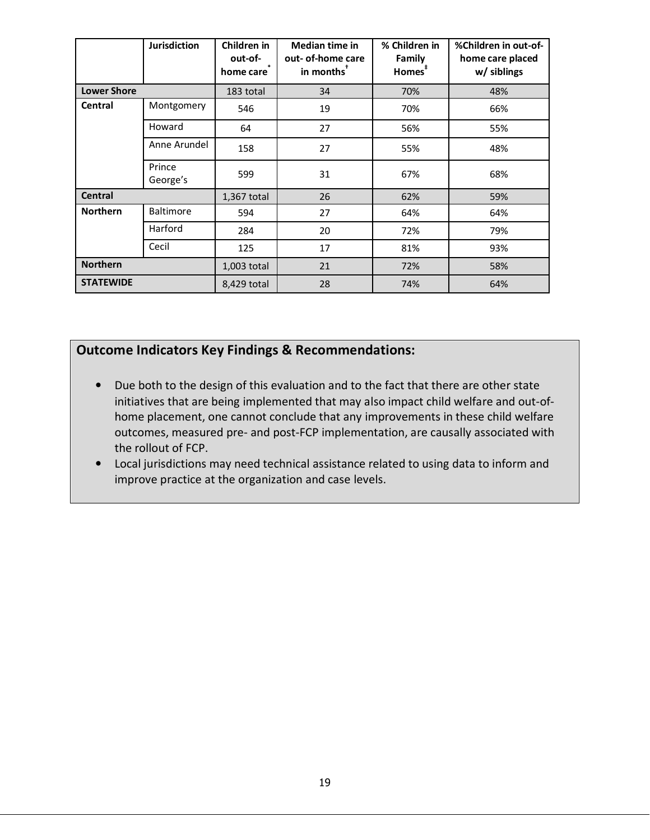|                    | <b>Jurisdiction</b> | Children in<br>out-of-<br>home care | <b>Median time in</b><br>out- of-home care<br>in months <sup>™</sup> | % Children in<br>Family<br>Homes <sup>#</sup> | %Children in out-of-<br>home care placed<br>w/ siblings |
|--------------------|---------------------|-------------------------------------|----------------------------------------------------------------------|-----------------------------------------------|---------------------------------------------------------|
| <b>Lower Shore</b> |                     | 183 total                           | 34                                                                   | 70%                                           | 48%                                                     |
| Central            | Montgomery          | 546                                 | 19                                                                   | 70%                                           | 66%                                                     |
|                    | Howard              | 64                                  | 27                                                                   | 56%                                           | 55%                                                     |
|                    | Anne Arundel        | 158                                 | 27                                                                   | 55%                                           | 48%                                                     |
|                    | Prince<br>George's  | 599                                 | 31                                                                   | 67%                                           | 68%                                                     |
| <b>Central</b>     |                     | 1,367 total                         | 26                                                                   | 62%                                           | 59%                                                     |
| <b>Northern</b>    | <b>Baltimore</b>    | 594                                 | 27                                                                   | 64%                                           | 64%                                                     |
|                    | Harford             | 284                                 | 20                                                                   | 72%                                           | 79%                                                     |
|                    | Cecil               | 125                                 | 17                                                                   | 81%                                           | 93%                                                     |
| <b>Northern</b>    |                     | 1,003 total                         | 21                                                                   | 72%                                           | 58%                                                     |
| <b>STATEWIDE</b>   |                     | 8,429 total                         | 28                                                                   | 74%                                           | 64%                                                     |

## **Outcome Indicators Key Findings & Recommendations:**

- Due both to the design of this evaluation and to the fact that there are other state initiatives that are being implemented that may also impact child welfare and out-ofhome placement, one cannot conclude that any improvements in these child welfare outcomes, measured pre- and post-FCP implementation, are causally associated with the rollout of FCP.
- Local jurisdictions may need technical assistance related to using data to inform and improve practice at the organization and case levels.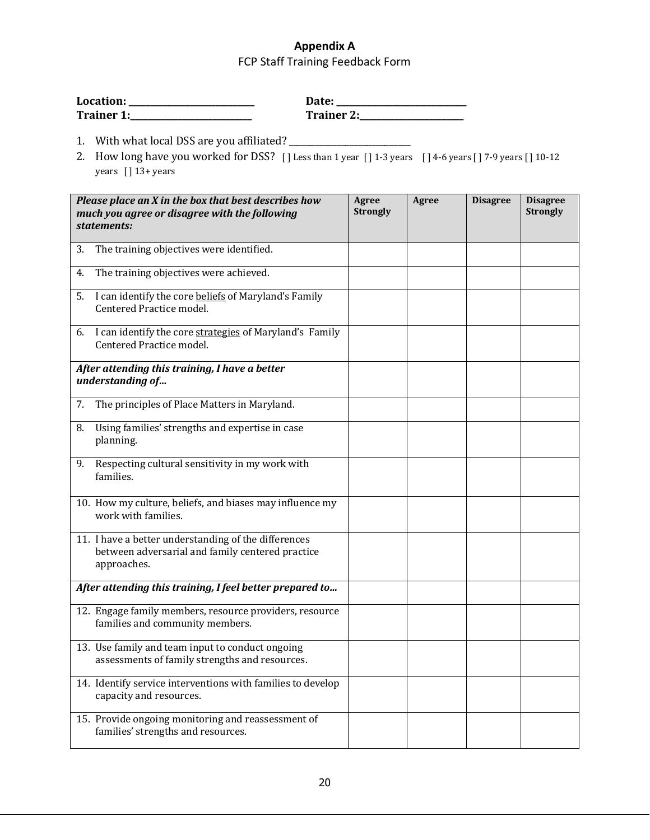## **Appendix A**  FCP Staff Training Feedback Form

| Location:  | Date:      |
|------------|------------|
| Trainer 1: | Trainer 2: |

- 1. With what local DSS are you affiliated? \_\_\_\_\_\_\_\_\_\_\_\_\_\_\_\_\_\_\_\_\_\_\_\_\_\_\_\_
- 2. How long have you worked for DSS? [] Less than 1 year [] 1-3 years [] 4-6 years [] 7-9 years [] 10-12 years  $[ ] 13+ \text{years}$

| Please place an X in the box that best describes how<br>much you agree or disagree with the following<br>statements:    | Agree<br><b>Strongly</b> | <b>Agree</b> | <b>Disagree</b> | <b>Disagree</b><br><b>Strongly</b> |
|-------------------------------------------------------------------------------------------------------------------------|--------------------------|--------------|-----------------|------------------------------------|
| The training objectives were identified.<br>3.                                                                          |                          |              |                 |                                    |
| The training objectives were achieved.<br>4.                                                                            |                          |              |                 |                                    |
| I can identify the core beliefs of Maryland's Family<br>5.<br>Centered Practice model.                                  |                          |              |                 |                                    |
| I can identify the core strategies of Maryland's Family<br>6.<br>Centered Practice model.                               |                          |              |                 |                                    |
| After attending this training, I have a better<br>understanding of                                                      |                          |              |                 |                                    |
| 7.<br>The principles of Place Matters in Maryland.                                                                      |                          |              |                 |                                    |
| Using families' strengths and expertise in case<br>8.<br>planning.                                                      |                          |              |                 |                                    |
| Respecting cultural sensitivity in my work with<br>9.<br>families.                                                      |                          |              |                 |                                    |
| 10. How my culture, beliefs, and biases may influence my<br>work with families.                                         |                          |              |                 |                                    |
| 11. I have a better understanding of the differences<br>between adversarial and family centered practice<br>approaches. |                          |              |                 |                                    |
| After attending this training, I feel better prepared to                                                                |                          |              |                 |                                    |
| 12. Engage family members, resource providers, resource<br>families and community members.                              |                          |              |                 |                                    |
| 13. Use family and team input to conduct ongoing<br>assessments of family strengths and resources.                      |                          |              |                 |                                    |
| 14. Identify service interventions with families to develop<br>capacity and resources.                                  |                          |              |                 |                                    |
| 15. Provide ongoing monitoring and reassessment of<br>families' strengths and resources.                                |                          |              |                 |                                    |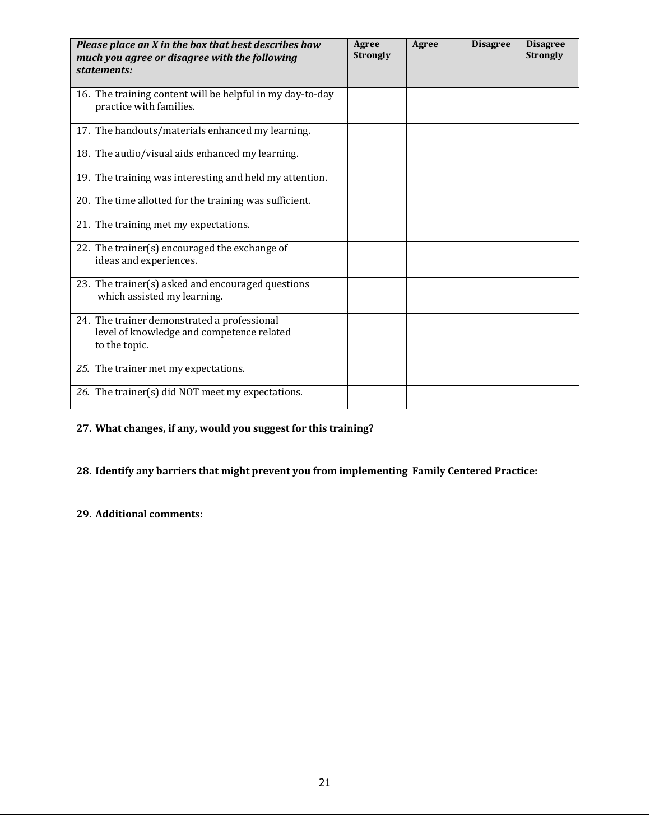| Please place an X in the box that best describes how<br>much you agree or disagree with the following<br>statements: | Agree<br><b>Strongly</b> | Agree | <b>Disagree</b> | <b>Disagree</b><br><b>Strongly</b> |
|----------------------------------------------------------------------------------------------------------------------|--------------------------|-------|-----------------|------------------------------------|
| 16. The training content will be helpful in my day-to-day<br>practice with families.                                 |                          |       |                 |                                    |
| 17. The handouts/materials enhanced my learning.                                                                     |                          |       |                 |                                    |
| 18. The audio/visual aids enhanced my learning.                                                                      |                          |       |                 |                                    |
| 19. The training was interesting and held my attention.                                                              |                          |       |                 |                                    |
| 20. The time allotted for the training was sufficient.                                                               |                          |       |                 |                                    |
| 21. The training met my expectations.                                                                                |                          |       |                 |                                    |
| 22. The trainer(s) encouraged the exchange of<br>ideas and experiences.                                              |                          |       |                 |                                    |
| 23. The trainer(s) asked and encouraged questions<br>which assisted my learning.                                     |                          |       |                 |                                    |
| 24. The trainer demonstrated a professional<br>level of knowledge and competence related<br>to the topic.            |                          |       |                 |                                    |
| 25. The trainer met my expectations.                                                                                 |                          |       |                 |                                    |
| 26. The trainer(s) did NOT meet my expectations.                                                                     |                          |       |                 |                                    |

## **27. What changes, if any, would you suggest for this training?**

## **28. Identify any barriers that might prevent you from implementing Family Centered Practice:**

#### **29. Additional comments:**